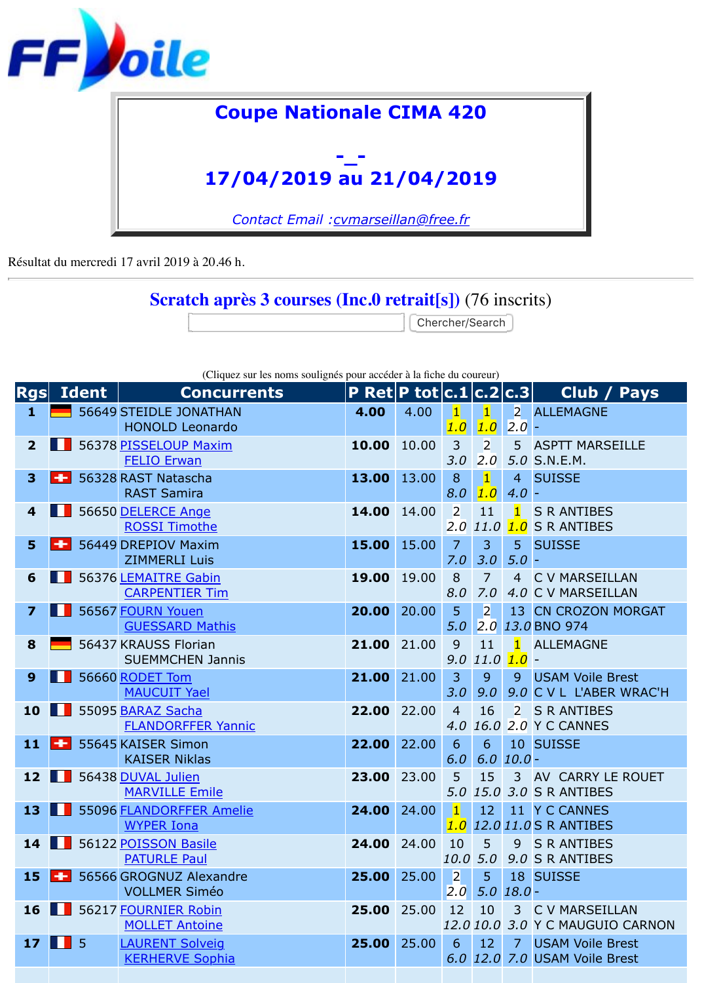

Résultat du mercredi 17 avril 2019 à 20.46 h.

## **Scratch après 3 courses (Inc.0 retrait[s])** (76 inscrits)

Chercher/Search

| (Cliquez sur les noms soulignés pour accéder à la fiche du coureur) |  |  |  |  |
|---------------------------------------------------------------------|--|--|--|--|
|                                                                     |  |  |  |  |

| Rgs                     | <b>Ident</b> | <b>Concurrents</b>                                   | P Ret $\mathsf{P}$ tot $\mathsf{c}.1$ $\mathsf{c}.2$ $\mathsf{c}.3$ |       |                                    |                       |                       | Club/                                            |
|-------------------------|--------------|------------------------------------------------------|---------------------------------------------------------------------|-------|------------------------------------|-----------------------|-----------------------|--------------------------------------------------|
| 1                       |              | 56649 STEIDLE JONATHAN<br><b>HONOLD Leonardo</b>     | 4.00                                                                | 4.00  | $\vert$ 1<br>1.0                   | $\mathbf{1}$<br>1.0   | 2.0                   | 2 ALLEMAGNE                                      |
| $\overline{2}$          |              | 56378 PISSELOUP Maxim<br><b>FELIO Erwan</b>          | 10.00                                                               | 10.00 | $\overline{3}$<br>3.0              | $\overline{2}$<br>2.0 |                       | 5 ASPTT MARSE<br>5.0 S.N.E.M.                    |
| $\overline{\mathbf{3}}$ |              | 56328 RAST Natascha<br><b>RAST Samira</b>            | 13.00                                                               | 13.00 | 8<br>8.0                           | $\mathbf{1}$<br>1.0   | $\overline{4}$<br>4.0 | <b>SUISSE</b>                                    |
| $\overline{\mathbf{4}}$ |              | 56650 DELERCE Ange<br><b>ROSSI Timothe</b>           | 14.00                                                               | 14.00 | $\overline{2}$<br>2.0              | 11<br>11.0            | $\mathbf{1}$<br>1.0   | <b>S R ANTIBES</b><br><b>S R ANTIBES</b>         |
| 5                       |              | 56449 DREPIOV Maxim<br><b>ZIMMERLI Luis</b>          | 15.00                                                               | 15.00 | $\overline{7}$<br>7.0              | $\overline{3}$<br>3.0 | 5 <sup>1</sup><br>5.0 | <b>SUISSE</b>                                    |
| 6                       |              | 56376 LEMAITRE Gabin<br><b>CARPENTIER Tim</b>        | 19.00                                                               | 19.00 | 8<br>8.0                           | $\overline{7}$<br>7.0 |                       | 4 C V MARSEIL<br>4.0 C V MARSEIL                 |
| $\overline{\mathbf{z}}$ |              | 56567 FOURN Youen<br><b>GUESSARD Mathis</b>          | 20.00                                                               | 20,00 | 5<br>5.0                           | $\overline{2}$        |                       | 13 CN CROZON<br>2.0 13.0 BNO 974                 |
| 8                       |              | 56437 KRAUSS Florian<br><b>SUEMMCHEN Jannis</b>      | 21.00                                                               | 21.00 | 9<br>9.0                           | 11<br>$11.0$ $1.0$    | $\blacksquare$        | <b>ALLEMAGNE</b><br>$\overline{\phantom{a}}$     |
| 9                       |              | 56660 RODET Tom<br><b>MAUCUIT Yael</b>               | 21.00                                                               | 21.00 | 3<br>3.0                           | 9<br>9.0              | 9                     | <b>USAM Voile B</b><br>9.0 C V L L'ABER          |
| 10                      |              | 55095 BARAZ Sacha<br><b>FLANDORFFER Yannic</b>       | 22.00                                                               | 22.00 | $\overline{4}$<br>4.0              | 16                    |                       | 2 S R ANTIBES<br>16.0 2.0 Y C CANNES             |
| 11                      | ۰            | 55645 KAISER Simon<br><b>KAISER Niklas</b>           | 22.00                                                               | 22.00 | 6<br>6.0                           | 6                     | $6.0$ $10.0$ -        | 10 SUISSE                                        |
| 12                      | ш            | 56438 DUVAL Julien<br><b>MARVILLE Emile</b>          | 23.00                                                               | 23.00 | 5                                  | 15                    |                       | 3 AV CARRY LE<br>5.0 15.0 3.0 S R ANTIBES        |
| 13                      |              | 55096 <b>FLANDORFFER Amelie</b><br><b>WYPER Iona</b> | 24.00                                                               | 24.00 | $\vert$ 1<br>1.0                   | 12 <sup>7</sup>       |                       | 11 Y C CANNES<br>12.0 11.0 S R ANTIBES           |
|                         |              | 14 56122 POISSON Basile<br><b>PATURLE Paul</b>       | 24.00                                                               | 24.00 | 10<br>10.0 5.0                     | 5 <sup>5</sup>        |                       | 9 S R ANTIBES<br>9.0 S R ANTIBES                 |
| <b>15</b>               |              | 56566 GROGNUZ Alexandre<br><b>VOLLMER Siméo</b>      | 25.00                                                               | 25.00 | $\overline{2}$<br>2.0 <sub>1</sub> | 5 <sup>1</sup>        | $5.0$ $18.0$ -        | 18 SUISSE                                        |
| 16                      |              | 56217 FOURNIER Robin<br><b>MOLLET Antoine</b>        | 25.00                                                               | 25.00 | 12                                 | 10                    |                       | 3 C V MARSEIL<br>12.0 10.0 3.0 Y C MAUGUIO       |
| 17 <b>H</b>             | - 5          | <b>LAURENT Solveig</b><br><b>KERHERVE Sophia</b>     | 25.00                                                               | 25.00 | 6                                  | 12                    | 7 <sup>1</sup>        | <b>USAM Voile B</b><br>6.0 12.0 7.0 USAM Voile B |
|                         |              |                                                      |                                                                     |       |                                    |                       |                       |                                                  |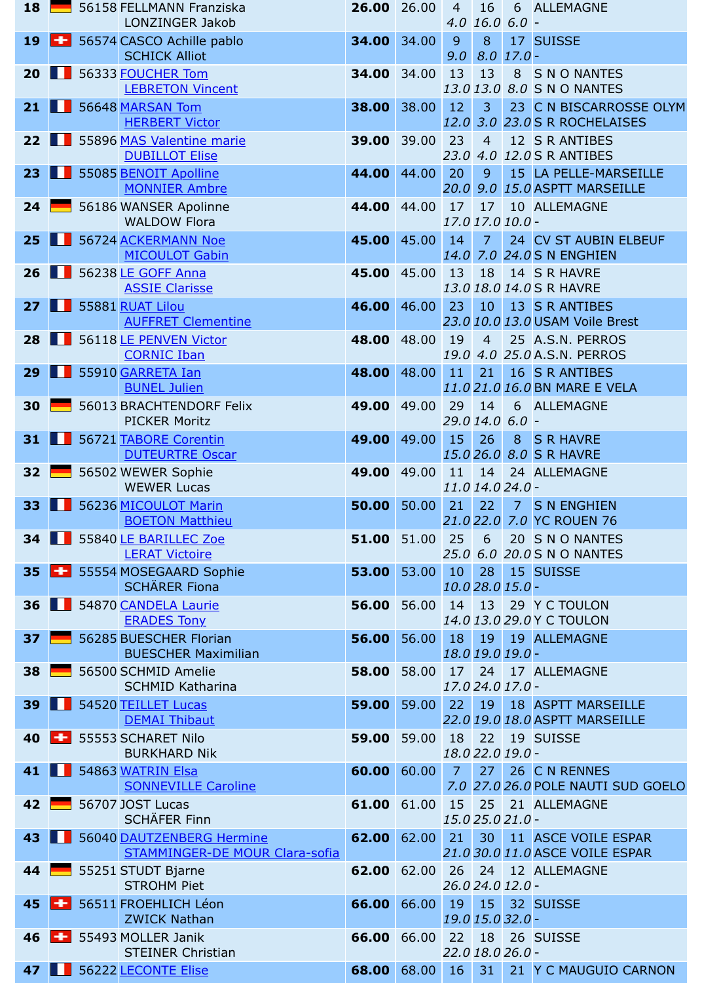|    |                   | <b>MONNIER Ambre</b>                                               |       |       |                                   |                 |                | <i>20.0 9.0 15.0</i> ASPTT MARSE                    |
|----|-------------------|--------------------------------------------------------------------|-------|-------|-----------------------------------|-----------------|----------------|-----------------------------------------------------|
|    | 24 $\blacksquare$ | 56186 WANSER Apolinne<br><b>WALDOW Flora</b>                       | 44.00 | 44.00 | 17<br>17.0 17.0 10.0 -            | 17              |                | 10 ALLEMAGNE                                        |
| 25 |                   | 56724 ACKERMANN Noe<br><b>MICOULOT Gabin</b>                       | 45.00 | 45.00 | 14 <sup>1</sup>                   | 7 <sup>7</sup>  |                | 24 CV ST AUBIN<br>14.0 7.0 24.0 S N ENGHIEN         |
| 26 | n di              | 56238 LE GOFF Anna<br><b>ASSIE Clarisse</b>                        | 45.00 | 45.00 | 13                                | 18              |                | 14 S R HAVRE<br>13.0 18.0 14.0 S R HAVRE            |
| 27 |                   | 55881 RUAT Lilou<br><b>AUFFRET Clementine</b>                      | 46.00 | 46.00 | 23                                | 10 <sup>1</sup> |                | 13 S R ANTIBES<br>23.0 10.0 13.0 USAM Voile B       |
| 28 | H                 | 56118 LE PENVEN Victor<br><b>CORNIC Iban</b>                       | 48.00 | 48.00 | 19<br>19.0                        | $\overline{4}$  |                | 25 A.S.N. PERRC<br>4.0 25.0 A.S.N. PERRC            |
| 29 |                   | 55910 GARRETA Ian<br><b>BUNEL Julien</b>                           | 48.00 | 48.00 | 11                                | 21              |                | 16 S R ANTIBES<br>11.021.016.0BN MARE EV            |
| 30 |                   | 56013 BRACHTENDORF Felix<br><b>PICKER Moritz</b>                   | 49.00 | 49.00 | 29<br>29.0 14.0 6.0 -             | 14              | 6 <sup>1</sup> | <b>ALLEMAGNE</b>                                    |
| 31 | ш                 | 56721 TABORE Corentin<br><b>DUTEURTRE Oscar</b>                    | 49.00 | 49.00 | 15<br>15.026.0                    | 26              | 8 <sup>°</sup> | <b>S R HAVRE</b><br>8.0 S R HAVRE                   |
| 32 |                   | 56502 WEWER Sophie<br><b>WEWER Lucas</b>                           | 49.00 | 49.00 | 11<br>11.0 14.0 24.0 -            | 14              |                | 24 ALLEMAGNE                                        |
| 33 |                   | 56236 MICOULOT Marin<br><b>BOETON Matthieu</b>                     | 50.00 | 50.00 | 21                                | 22              | 7 <sup>7</sup> | <b>S N ENGHIEN</b><br>21.0 22.0 7.0 YC ROUEN 76     |
| 34 |                   | 55840 LE BARILLEC Zoe<br><b>LERAT Victoire</b>                     | 51.00 | 51.00 | 25                                | 6               |                | 20 S N O NANTE<br>25.0 6.0 20.0 S N O NANTE         |
| 35 | ÷                 | 55554 MOSEGAARD Sophie<br><b>SCHÄRER Fiona</b>                     | 53.00 | 53.00 | 10<br>10.0 28.0 15.0 -            | 28              |                | 15 SUISSE                                           |
| 36 | l II              | 54870 CANDELA Laurie<br><b>ERADES Tony</b>                         | 56.00 | 56.00 | 14                                | 13              |                | 29 Y C TOULON<br>14.0 13.0 29.0 Y C TOULON          |
| 37 |                   | 56285 BUESCHER Florian<br><b>BUESCHER Maximilian</b>               | 56.00 | 56.00 | 18.0 19.0 19.0 -                  |                 |                | 18 19 19 ALLEMAGNE                                  |
| 38 |                   | 56500 SCHMID Amelie<br><b>SCHMID Katharina</b>                     | 58.00 | 58.00 | 17 <sup>7</sup><br>17.024.017.0 - | 24              |                | 17 ALLEMAGNE                                        |
| 39 |                   | 54520 TEILLET Lucas<br><b>DEMAI Thibaut</b>                        | 59.00 | 59.00 | 22                                | 19              |                | <b>18 ASPTT MARSE</b><br>22.0 19.0 18.0 ASPTT MARSE |
| 40 | $\leftarrow$      | 55553 SCHARET Nilo<br><b>BURKHARD Nik</b>                          | 59.00 | 59.00 | 18<br>18.0 22.0 19.0 -            | 22              |                | 19 SUISSE                                           |
| 41 |                   | 54863 WATRIN Elsa<br><b>SONNEVILLE Caroline</b>                    | 60.00 | 60.00 | $\overline{7}$                    | 27 <sup>1</sup> |                | 26 C N RENNES<br>7.0 27.0 26.0 POLE NAUTI 9         |
| 42 |                   | 56707 JOST Lucas<br><b>SCHÄFER Finn</b>                            | 61.00 | 61.00 | 15<br>15.025.021.0 -              | 25 <sub>1</sub> |                | 21 ALLEMAGNE                                        |
| 43 |                   | 56040 DAUTZENBERG Hermine<br><b>STAMMINGER-DE MOUR Clara-sofia</b> | 62.00 | 62.00 | 21                                | 30 <sup>°</sup> |                | 11 ASCE VOILE I<br>21.0 30.0 11.0 ASCE VOILE I      |
| 44 |                   | 55251 STUDT Bjarne<br><b>STROHM Piet</b>                           | 62.00 | 62.00 | 26<br>26.0 24.0 12.0 -            | 24              |                | 12 ALLEMAGNE                                        |
| 45 | ÷                 | 56511 FROEHLICH Léon<br><b>ZWICK Nathan</b>                        | 66.00 | 66.00 | 19<br>19.0 15.0 32.0 -            | 15 <sup>2</sup> |                | 32 SUISSE                                           |
| 46 | ÷                 | 55493 MOLLER Janik<br><b>STEINER Christian</b>                     | 66.00 | 66.00 | 22<br>22.0 18.0 26.0 -            | 18              |                | 26 SUISSE                                           |
| 47 |                   | 56222 LECONTE Elise                                                | 68.00 | 68.00 | 16                                | 31              |                | 21 Y C MAUGUIC                                      |